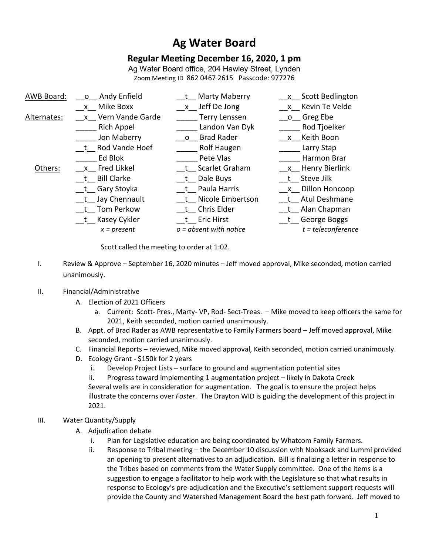# **Ag Water Board**

## **Regular Meeting December 16, 2020, 1 pm**

Ag Water Board office, 204 Hawley Street, Lynden Zoom Meeting ID 862 0467 2615 Passcode: 977276

| AWB Board:  | o Andy Enfield      | Marty Maberry            | x Scott Bedlington   |
|-------------|---------------------|--------------------------|----------------------|
|             | x Mike Boxx         | x Jeff De Jong           | x Kevin Te Velde     |
| Alternates: | x Vern Vande Garde  | <b>Terry Lenssen</b>     | o Greg Ebe           |
|             | <b>Rich Appel</b>   | Landon Van Dyk           | Rod Tjoelker         |
|             | Jon Maberry         | o Brad Rader             | x Keith Boon         |
|             | t Rod Vande Hoef    | Rolf Haugen              | Larry Stap           |
|             | Ed Blok             | Pete Vlas                | Harmon Brar          |
| Others:     | x Fred Likkel       | t Scarlet Graham         | x Henry Bierlink     |
|             | t Bill Clarke       | t Dale Buys              | t Steve Jilk         |
|             | __t__ Gary Stoyka   | t Paula Harris           | x Dillon Honcoop     |
|             | __t__ Jay Chennault | t Nicole Embertson       | t Atul Deshmane      |
|             | t Tom Perkow        | t Chris Elder            | t Alan Chapman       |
|             | __t__ Kasey Cykler  | t Eric Hirst             | t George Boggs       |
|             | $x = present$       | $o = absent$ with notice | $t = teleconference$ |

Scott called the meeting to order at 1:02.

I. Review & Approve – September 16, 2020 minutes – Jeff moved approval, Mike seconded, motion carried unanimously.

### II. Financial/Administrative

- A. Election of 2021 Officers
	- a. Current: Scott- Pres., Marty- VP, Rod- Sect-Treas. Mike moved to keep officers the same for 2021, Keith seconded, motion carried unanimously.
- B. Appt. of Brad Rader as AWB representative to Family Farmers board Jeff moved approval, Mike seconded, motion carried unanimously.
- C. Financial Reports reviewed, Mike moved approval, Keith seconded, motion carried unanimously.
- D. Ecology Grant \$150k for 2 years
	- i. Develop Project Lists surface to ground and augmentation potential sites
	- ii. Progress toward implementing 1 augmentation project likely in Dakota Creek Several wells are in consideration for augmentation. The goal is to ensure the project helps illustrate the concerns over *Foster*. The Drayton WID is guiding the development of this project in 2021.
- III. Water Quantity/Supply
	- A. Adjudication debate
		- i. Plan for Legislative education are being coordinated by Whatcom Family Farmers.
		- ii. Response to Tribal meeting the December 10 discussion with Nooksack and Lummi provided an opening to present alternatives to an adjudication. Bill is finalizing a letter in response to the Tribes based on comments from the Water Supply committee. One of the items is a suggestion to engage a facilitator to help work with the Legislature so that what results in response to Ecology's pre-adjudication and the Executive's settlement support requests will provide the County and Watershed Management Board the best path forward. Jeff moved to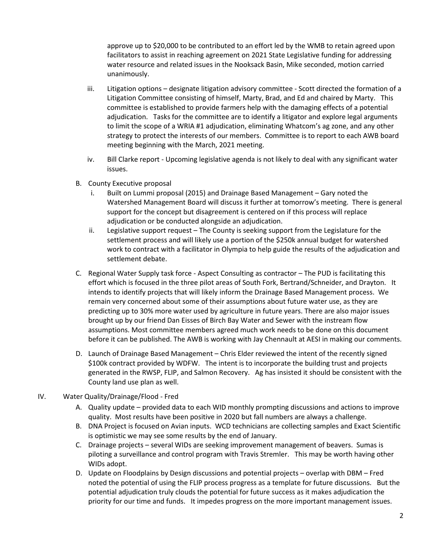approve up to \$20,000 to be contributed to an effort led by the WMB to retain agreed upon facilitators to assist in reaching agreement on 2021 State Legislative funding for addressing water resource and related issues in the Nooksack Basin, Mike seconded, motion carried unanimously.

- iii. Litigation options designate litigation advisory committee Scott directed the formation of a Litigation Committee consisting of himself, Marty, Brad, and Ed and chaired by Marty. This committee is established to provide farmers help with the damaging effects of a potential adjudication. Tasks for the committee are to identify a litigator and explore legal arguments to limit the scope of a WRIA #1 adjudication, eliminating Whatcom's ag zone, and any other strategy to protect the interests of our members. Committee is to report to each AWB board meeting beginning with the March, 2021 meeting.
- iv. Bill Clarke report Upcoming legislative agenda is not likely to deal with any significant water issues.
- B. County Executive proposal
	- i. Built on Lummi proposal (2015) and Drainage Based Management Gary noted the Watershed Management Board will discuss it further at tomorrow's meeting. There is general support for the concept but disagreement is centered on if this process will replace adjudication or be conducted alongside an adjudication.
	- ii. Legislative support request The County is seeking support from the Legislature for the settlement process and will likely use a portion of the \$250k annual budget for watershed work to contract with a facilitator in Olympia to help guide the results of the adjudication and settlement debate.
- C. Regional Water Supply task force Aspect Consulting as contractor The PUD is facilitating this effort which is focused in the three pilot areas of South Fork, Bertrand/Schneider, and Drayton. It intends to identify projects that will likely inform the Drainage Based Management process. We remain very concerned about some of their assumptions about future water use, as they are predicting up to 30% more water used by agriculture in future years. There are also major issues brought up by our friend Dan Eisses of Birch Bay Water and Sewer with the instream flow assumptions. Most committee members agreed much work needs to be done on this document before it can be published. The AWB is working with Jay Chennault at AESI in making our comments.
- D. Launch of Drainage Based Management Chris Elder reviewed the intent of the recently signed \$100k contract provided by WDFW. The intent is to incorporate the building trust and projects generated in the RWSP, FLIP, and Salmon Recovery. Ag has insisted it should be consistent with the County land use plan as well.
- IV. Water Quality/Drainage/Flood Fred
	- A. Quality update provided data to each WID monthly prompting discussions and actions to improve quality. Most results have been positive in 2020 but fall numbers are always a challenge.
	- B. DNA Project is focused on Avian inputs. WCD technicians are collecting samples and Exact Scientific is optimistic we may see some results by the end of January.
	- C. Drainage projects several WIDs are seeking improvement management of beavers. Sumas is piloting a surveillance and control program with Travis Stremler. This may be worth having other WIDs adopt.
	- D. Update on Floodplains by Design discussions and potential projects overlap with DBM Fred noted the potential of using the FLIP process progress as a template for future discussions. But the potential adjudication truly clouds the potential for future success as it makes adjudication the priority for our time and funds. It impedes progress on the more important management issues.